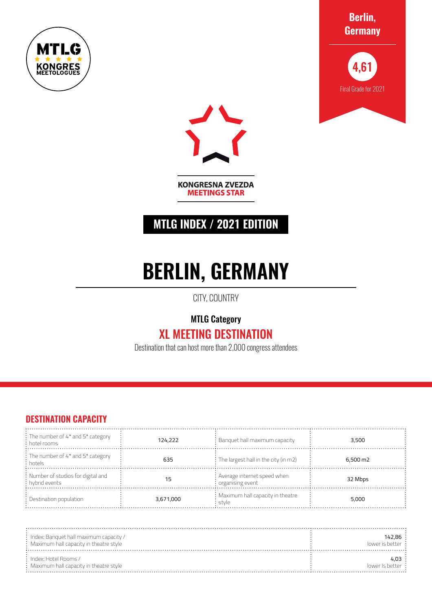







**KONGRESNA ZVEZDA MEETINGS STAR** 

## **MTLG INDEX / 2021 EDITION**

# **BERLIN, GERMANY**

CITY, COUNTRY

MTLG Category

## XL MEETING DESTINATION

Destination that can host more than 2,000 congress attendees

### **DESTINATION CAPACITY**

| : The number of 4* and 5* category<br>$\frac{1}{2}$ hotel rooms | 124,222   | $\therefore$ Banquet hall maximum capacity            | 3,500              |
|-----------------------------------------------------------------|-----------|-------------------------------------------------------|--------------------|
| : The number of 4* and 5* category<br>: hotels                  | 635       | $\frac{1}{2}$ : The largest hall in the city (in m2)  | $6.500 \text{ m2}$ |
| : Number of studios for digital and<br>: hybrid events          |           | : Average internet speed when<br>$:$ organising event | 32 Mbps            |
| : Destination population                                        | 3,671,000 | : Maximum hall capacity in theatre<br>stvle           | 5,000              |

| $\therefore$ Index: Banquet hall maximum capacity /<br>$:$ Maximum hall capacity in theatre style | 142,86 :<br>lower is better: |
|---------------------------------------------------------------------------------------------------|------------------------------|
| $:$ Index: Hotel Rooms /<br>$\colon$ Maximum hall capacity in theatre style                       | 4.O3 ·<br>lower is better:   |